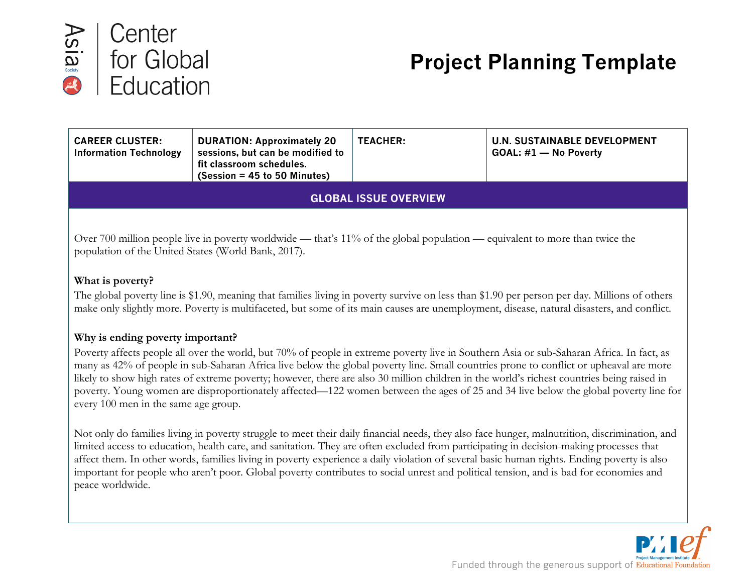

# **Project Planning Template**

| <b>CAREER CLUSTER:</b><br><b>Information Technology</b> | <b>DURATION: Approximately 20</b><br>sessions, but can be modified to<br>fit classroom schedules.<br>$(Session = 45 to 50$ Minutes) | <b>TEACHER:</b> | <b>U.N. SUSTAINABLE DEVELOPMENT</b><br>GOAL: #1 - No Poverty |  |  |
|---------------------------------------------------------|-------------------------------------------------------------------------------------------------------------------------------------|-----------------|--------------------------------------------------------------|--|--|
| <b>GLOBAL ISSUE OVERVIEW</b>                            |                                                                                                                                     |                 |                                                              |  |  |

Over 700 million people live in poverty worldwide — that's 11% of the global population — equivalent to more than twice the population of the United States (World Bank, 2017).

#### **What is poverty?**

The global poverty line is \$1.90, meaning that families living in poverty survive on less than \$1.90 per person per day. Millions of others make only slightly more. Poverty is multifaceted, but some of its main causes are unemployment, disease, natural disasters, and conflict.

# **Why is ending poverty important?**

Poverty affects people all over the world, but 70% of people in extreme poverty live in Southern Asia or sub-Saharan Africa. In fact, as many as 42% of people in sub-Saharan Africa live below the global poverty line. Small countries prone to conflict or upheaval are more likely to show high rates of extreme poverty; however, there are also 30 million children in the world's richest countries being raised in poverty. Young women are disproportionately affected—122 women between the ages of 25 and 34 live below the global poverty line for every 100 men in the same age group.

Not only do families living in poverty struggle to meet their daily financial needs, they also face hunger, malnutrition, discrimination, and limited access to education, health care, and sanitation. They are often excluded from participating in decision-making processes that affect them. In other words, families living in poverty experience a daily violation of several basic human rights. Ending poverty is also important for people who aren't poor. Global poverty contributes to social unrest and political tension, and is bad for economies and peace worldwide.

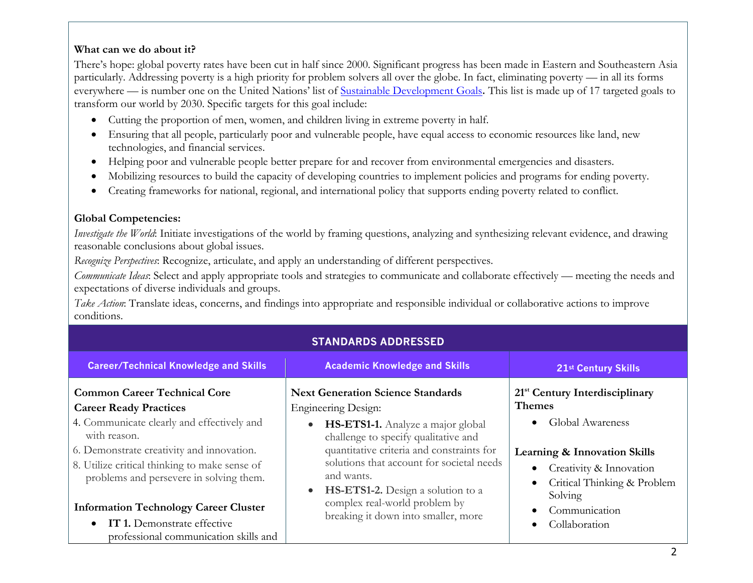# **What can we do about it?**

There's hope: global poverty rates have been cut in half since 2000. Significant progress has been made in Eastern and Southeastern Asia particularly. Addressing poverty is a high priority for problem solvers all over the globe. In fact, eliminating poverty — in all its forms everywhere — is number one on the United Nations' list of Sustainable Development Goals. This list is made up of 17 targeted goals to transform our world by 2030. Specific targets for this goal include:

- Cutting the proportion of men, women, and children living in extreme poverty in half.
- Ensuring that all people, particularly poor and vulnerable people, have equal access to economic resources like land, new technologies, and financial services.
- Helping poor and vulnerable people better prepare for and recover from environmental emergencies and disasters.
- Mobilizing resources to build the capacity of developing countries to implement policies and programs for ending poverty.
- Creating frameworks for national, regional, and international policy that supports ending poverty related to conflict.

# **Global Competencies:**

*Investigate the World*: Initiate investigations of the world by framing questions, analyzing and synthesizing relevant evidence, and drawing reasonable conclusions about global issues.

*Recognize Perspectives*: Recognize, articulate, and apply an understanding of different perspectives.

*Communicate Ideas*: Select and apply appropriate tools and strategies to communicate and collaborate effectively — meeting the needs and expectations of diverse individuals and groups.

**STANDARDS ADDRESSED**

*Take Action*: Translate ideas, concerns, and findings into appropriate and responsible individual or collaborative actions to improve conditions.

| <b>Career/Technical Knowledge and Skills</b>                                                                                                                                                                                                                                                                                                                                                        | <b>Academic Knowledge and Skills</b>                                                                                                                                                                                                                                                                                                                                                               | 21st Century Skills                                                                                                                                                                                                                                                                   |
|-----------------------------------------------------------------------------------------------------------------------------------------------------------------------------------------------------------------------------------------------------------------------------------------------------------------------------------------------------------------------------------------------------|----------------------------------------------------------------------------------------------------------------------------------------------------------------------------------------------------------------------------------------------------------------------------------------------------------------------------------------------------------------------------------------------------|---------------------------------------------------------------------------------------------------------------------------------------------------------------------------------------------------------------------------------------------------------------------------------------|
| <b>Common Career Technical Core</b><br><b>Career Ready Practices</b><br>4. Communicate clearly and effectively and<br>with reason.<br>6. Demonstrate creativity and innovation.<br>8. Utilize critical thinking to make sense of<br>problems and persevere in solving them.<br><b>Information Technology Career Cluster</b><br>IT 1. Demonstrate effective<br>professional communication skills and | <b>Next Generation Science Standards</b><br><b>Engineering Design:</b><br>HS-ETS1-1. Analyze a major global<br>$\bullet$<br>challenge to specify qualitative and<br>quantitative criteria and constraints for<br>solutions that account for societal needs<br>and wants.<br>HS-ETS1-2. Design a solution to a<br>$\bullet$<br>complex real-world problem by<br>breaking it down into smaller, more | 21 <sup>st</sup> Century Interdisciplinary<br><b>Themes</b><br>Global Awareness<br>$\bullet$<br><b>Learning &amp; Innovation Skills</b><br>Creativity & Innovation<br>Critical Thinking & Problem<br>$\bullet$<br>Solving<br>Communication<br>$\bullet$<br>Collaboration<br>$\bullet$ |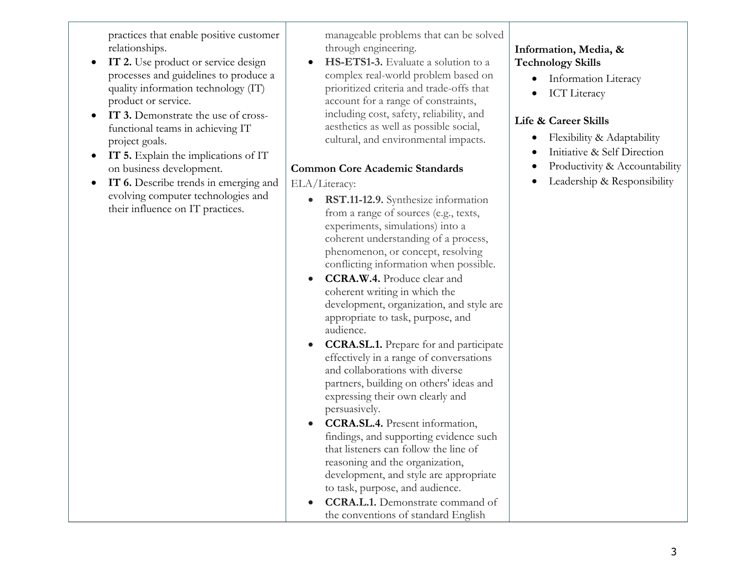practices that enable positive customer relationships.

- **IT 2.** Use product or service design processes and guidelines to produce a quality information technology (IT) product or service.
- **IT 3.** Demonstrate the use of crossfunctional teams in achieving IT project goals.
- **IT 5.** Explain the implications of IT on business development.
- **IT 6.** Describe trends in emerging and evolving computer technologies and their influence on IT practices.

manageable problems that can be solved through engineering.

• **HS-ETS1-3.** Evaluate a solution to a complex real-world problem based on prioritized criteria and trade-offs that account for a range of constraints, including cost, safety, reliability, and aesthetics as well as possible social, cultural, and environmental impacts.

# **Common Core Academic Standards**

ELA/Literacy:

- **RST.11-12.9.** Synthesize information from a range of sources (e.g., texts, experiments, simulations) into a coherent understanding of a process, phenomenon, or concept, resolving conflicting information when possible.
- **CCRA.W.4.** Produce clear and coherent writing in which the development, organization, and style are appropriate to task, purpose, and audience.
- **CCRA.SL.1.** Prepare for and participate effectively in a range of conversations and collaborations with diverse partners, building on others' ideas and expressing their own clearly and persuasively.
- **CCRA.SL.4.** Present information, findings, and supporting evidence such that listeners can follow the line of reasoning and the organization, development, and style are appropriate to task, purpose, and audience.
- **CCRA.L.1.** Demonstrate command of the conventions of standard English

# **Information, Media, & Technology Skills**

- Information Literacy
- ICT Literacy

# **Life & Career Skills**

- Flexibility & Adaptability
- Initiative & Self Direction
- Productivity & Accountability
- Leadership & Responsibility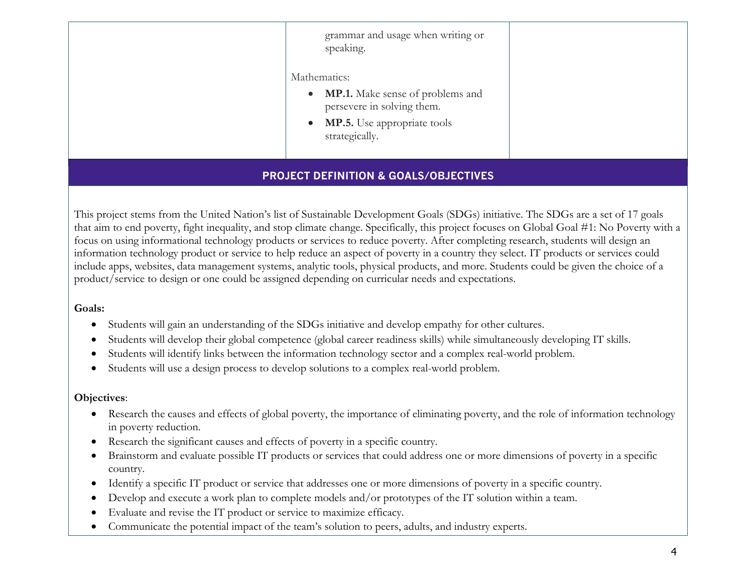| grammar and usage when writing or<br>speaking.                                                                                                        |  |
|-------------------------------------------------------------------------------------------------------------------------------------------------------|--|
| Mathematics:<br>• MP.1. Make sense of problems and<br>persevere in solving them.<br><b>MP.5.</b> Use appropriate tools<br>$\bullet$<br>strategically. |  |

# **PROJECT DEFINITION & GOALS/OBJECTIVES**

This project stems from the United Nation's list of Sustainable Development Goals (SDGs) initiative. The SDGs are a set of 17 goals that aim to end poverty, fight inequality, and stop climate change. Specifically, this project focuses on Global Goal #1: No Poverty with a focus on using informational technology products or services to reduce poverty. After completing research, students will design an information technology product or service to help reduce an aspect of poverty in a country they select. IT products or services could include apps, websites, data management systems, analytic tools, physical products, and more. Students could be given the choice of a product/service to design or one could be assigned depending on curricular needs and expectations.

#### **Goals:**

- Students will gain an understanding of the SDGs initiative and develop empathy for other cultures.
- Students will develop their global competence (global career readiness skills) while simultaneously developing IT skills.
- Students will identify links between the information technology sector and a complex real-world problem.
- Students will use a design process to develop solutions to a complex real-world problem.

#### **Objectives**:

- Research the causes and effects of global poverty, the importance of eliminating poverty, and the role of information technology in poverty reduction.
- Research the significant causes and effects of poverty in a specific country.
- Brainstorm and evaluate possible IT products or services that could address one or more dimensions of poverty in a specific country.
- Identify a specific IT product or service that addresses one or more dimensions of poverty in a specific country.
- Develop and execute a work plan to complete models and/or prototypes of the IT solution within a team.
- Evaluate and revise the IT product or service to maximize efficacy.
- Communicate the potential impact of the team's solution to peers, adults, and industry experts.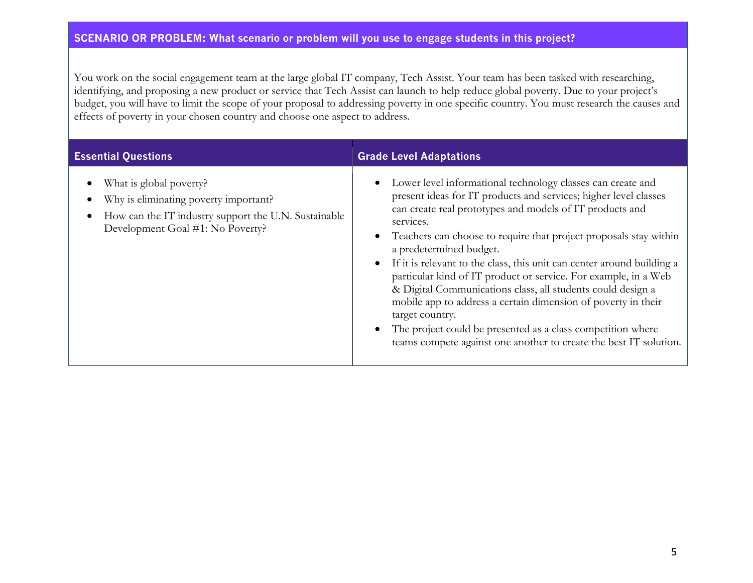# **SCENARIO OR PROBLEM: What scenario or problem will you use to engage students in this project?**

You work on the social engagement team at the large global IT company, Tech Assist. Your team has been tasked with researching, identifying, and proposing a new product or service that Tech Assist can launch to help reduce global poverty. Due to your project's budget, you will have to limit the scope of your proposal to addressing poverty in one specific country. You must research the causes and effects of poverty in your chosen country and choose one aspect to address.

| <b>Essential Questions</b>                                                                                                                                   | <b>Grade Level Adaptations</b>                                                                                                                                                                                                                                                                                                                                                                                                                                                                                                                                                                                                                                                                                                               |  |  |
|--------------------------------------------------------------------------------------------------------------------------------------------------------------|----------------------------------------------------------------------------------------------------------------------------------------------------------------------------------------------------------------------------------------------------------------------------------------------------------------------------------------------------------------------------------------------------------------------------------------------------------------------------------------------------------------------------------------------------------------------------------------------------------------------------------------------------------------------------------------------------------------------------------------------|--|--|
| What is global poverty?<br>Why is eliminating poverty important?<br>How can the IT industry support the U.N. Sustainable<br>Development Goal #1: No Poverty? | Lower level informational technology classes can create and<br>present ideas for IT products and services; higher level classes<br>can create real prototypes and models of IT products and<br>services.<br>Teachers can choose to require that project proposals stay within<br>a predetermined budget.<br>If it is relevant to the class, this unit can center around building a<br>particular kind of IT product or service. For example, in a Web<br>& Digital Communications class, all students could design a<br>mobile app to address a certain dimension of poverty in their<br>target country.<br>The project could be presented as a class competition where<br>teams compete against one another to create the best IT solution. |  |  |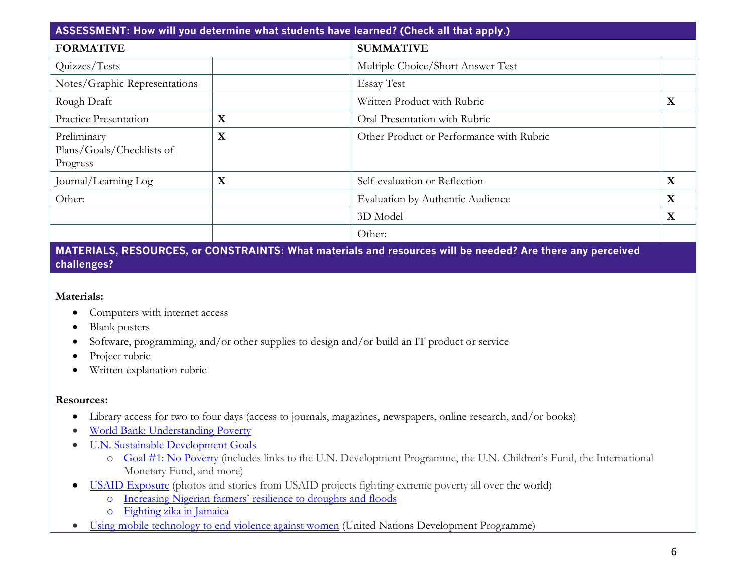| ASSESSMENT: How will you determine what students have learned? (Check all that apply.) |             |                                          |  |             |
|----------------------------------------------------------------------------------------|-------------|------------------------------------------|--|-------------|
| <b>FORMATIVE</b><br><b>SUMMATIVE</b>                                                   |             |                                          |  |             |
| Quizzes/Tests                                                                          |             | Multiple Choice/Short Answer Test        |  |             |
| Notes/Graphic Representations                                                          |             | <b>Essay Test</b>                        |  |             |
| Rough Draft                                                                            |             | Written Product with Rubric              |  | $\mathbf X$ |
| <b>Practice Presentation</b>                                                           | $\mathbf X$ | Oral Presentation with Rubric            |  |             |
| Preliminary<br>Plans/Goals/Checklists of<br>Progress                                   | X           | Other Product or Performance with Rubric |  |             |
| Journal/Learning Log                                                                   | $\mathbf X$ | Self-evaluation or Reflection            |  | X           |
| Other:                                                                                 |             | Evaluation by Authentic Audience         |  | $\mathbf X$ |
|                                                                                        |             | 3D Model                                 |  | X           |
|                                                                                        |             | Other:                                   |  |             |

**MATERIALS, RESOURCES, or CONSTRAINTS: What materials and resources will be needed? Are there any perceived challenges?**

#### **Materials:**

- Computers with internet access
- Blank posters
- Software, programming, and/or other supplies to design and/or build an IT product or service
- Project rubric
- Written explanation rubric

#### **Resources:**

- Library access for two to four days (access to journals, magazines, newspapers, online research, and/or books)
- World Bank: Understanding Poverty
- U.N. Sustainable Development Goals
	- o Goal #1: No Poverty (includes links to the U.N. Development Programme, the U.N. Children's Fund, the International Monetary Fund, and more)
- USAID Exposure (photos and stories from USAID projects fighting extreme poverty all over the world)
	- o Increasing Nigerian farmers' resilience to droughts and floods
	- o Fighting zika in Jamaica
- Using mobile technology to end violence against women (United Nations Development Programme)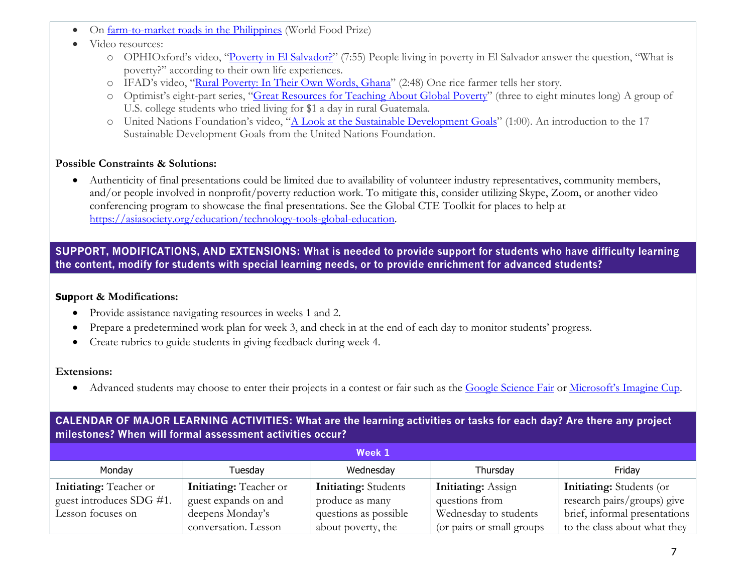- On farm-to-market roads in the Philippines (World Food Prize)
- Video resources:
	- o OPHIOxford's video, "Poverty in El Salvador?" (7:55) People living in poverty in El Salvador answer the question, "What is poverty?" according to their own life experiences.
	- o IFAD's video, "Rural Poverty: In Their Own Words, Ghana" (2:48) One rice farmer tells her story.
	- o Optimist's eight-part series, "Great Resources for Teaching About Global Poverty" (three to eight minutes long) A group of U.S. college students who tried living for \$1 a day in rural Guatemala.
	- o United Nations Foundation's video, "A Look at the Sustainable Development Goals" (1:00). An introduction to the 17 Sustainable Development Goals from the United Nations Foundation.

#### **Possible Constraints & Solutions:**

• Authenticity of final presentations could be limited due to availability of volunteer industry representatives, community members, and/or people involved in nonprofit/poverty reduction work. To mitigate this, consider utilizing Skype, Zoom, or another video conferencing program to showcase the final presentations. See the Global CTE Toolkit for places to help at https://asiasociety.org/education/technology-tools-global-education.

**SUPPORT, MODIFICATIONS, AND EXTENSIONS: What is needed to provide support for students who have difficulty learning the content, modify for students with special learning needs, or to provide enrichment for advanced students?**

#### **Support & Modifications:**

- Provide assistance navigating resources in weeks 1 and 2.
- Prepare a predetermined work plan for week 3, and check in at the end of each day to monitor students' progress.
- Create rubrics to guide students in giving feedback during week 4.

#### **Extensions:**

• Advanced students may choose to enter their projects in a contest or fair such as the Google Science Fair or Microsoft's Imagine Cup.

# **CALENDAR OF MAJOR LEARNING ACTIVITIES: What are the learning activities or tasks for each day? Are there any project milestones? When will formal assessment activities occur?**

| Week 1                        |                               |                             |                           |                                 |  |  |
|-------------------------------|-------------------------------|-----------------------------|---------------------------|---------------------------------|--|--|
| Monday                        | Tuesday                       | Wednesday                   | Thursday                  | Fridav                          |  |  |
| <b>Initiating:</b> Teacher or | <b>Initiating:</b> Teacher or | <b>Initiating:</b> Students | <b>Initiating:</b> Assign | <b>Initiating:</b> Students (or |  |  |
| guest introduces SDG #1.      | guest expands on and          | produce as many             | questions from            | research pairs/groups) give     |  |  |
| Lesson focuses on             | deepens Monday's              | questions as possible       | Wednesday to students     | brief, informal presentations   |  |  |
|                               | conversation. Lesson          | about poverty, the          | (or pairs or small groups | to the class about what they    |  |  |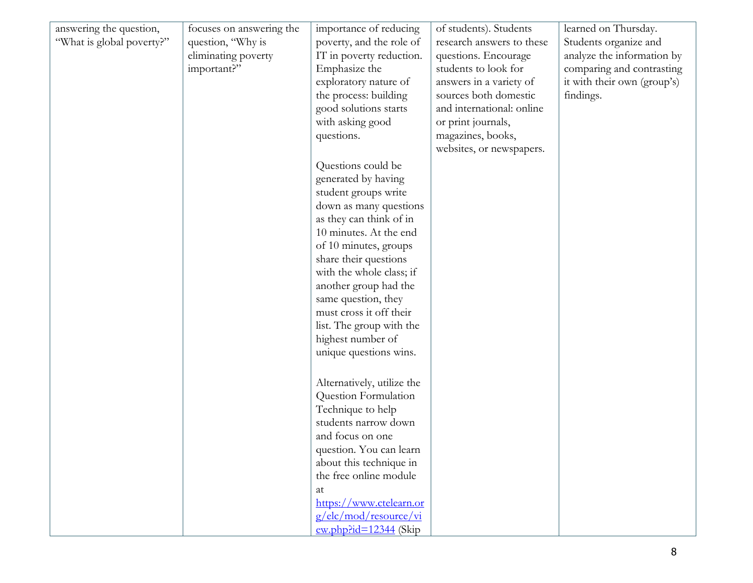| answering the question,<br>"What is global poverty?" | focuses on answering the<br>question, "Why is<br>eliminating poverty<br>important?" | importance of reducing<br>poverty, and the role of<br>IT in poverty reduction.<br>Emphasize the<br>exploratory nature of<br>the process: building<br>good solutions starts<br>with asking good<br>questions. | of students). Students<br>research answers to these<br>questions. Encourage<br>students to look for<br>answers in a variety of<br>sources both domestic<br>and international: online<br>or print journals,<br>magazines, books,<br>websites, or newspapers. | learned on Thursday.<br>Students organize and<br>analyze the information by<br>comparing and contrasting<br>it with their own (group's)<br>findings. |
|------------------------------------------------------|-------------------------------------------------------------------------------------|--------------------------------------------------------------------------------------------------------------------------------------------------------------------------------------------------------------|-------------------------------------------------------------------------------------------------------------------------------------------------------------------------------------------------------------------------------------------------------------|------------------------------------------------------------------------------------------------------------------------------------------------------|
|                                                      |                                                                                     | Questions could be<br>generated by having<br>student groups write                                                                                                                                            |                                                                                                                                                                                                                                                             |                                                                                                                                                      |
|                                                      |                                                                                     | down as many questions<br>as they can think of in<br>10 minutes. At the end                                                                                                                                  |                                                                                                                                                                                                                                                             |                                                                                                                                                      |
|                                                      |                                                                                     | of 10 minutes, groups<br>share their questions<br>with the whole class; if                                                                                                                                   |                                                                                                                                                                                                                                                             |                                                                                                                                                      |
|                                                      |                                                                                     | another group had the<br>same question, they<br>must cross it off their                                                                                                                                      |                                                                                                                                                                                                                                                             |                                                                                                                                                      |
|                                                      |                                                                                     | list. The group with the<br>highest number of                                                                                                                                                                |                                                                                                                                                                                                                                                             |                                                                                                                                                      |
|                                                      |                                                                                     | unique questions wins.<br>Alternatively, utilize the                                                                                                                                                         |                                                                                                                                                                                                                                                             |                                                                                                                                                      |
|                                                      |                                                                                     | Question Formulation<br>Technique to help<br>students narrow down                                                                                                                                            |                                                                                                                                                                                                                                                             |                                                                                                                                                      |
|                                                      |                                                                                     | and focus on one<br>question. You can learn<br>about this technique in                                                                                                                                       |                                                                                                                                                                                                                                                             |                                                                                                                                                      |
|                                                      |                                                                                     | the free online module<br>at<br>https://www.ctelearn.or                                                                                                                                                      |                                                                                                                                                                                                                                                             |                                                                                                                                                      |
|                                                      |                                                                                     | $g/$ elc/mod/resource/vi<br>$\frac{\text{ew.php} \cdot \text{id} = 12344}{\text{Gkip}}$                                                                                                                      |                                                                                                                                                                                                                                                             |                                                                                                                                                      |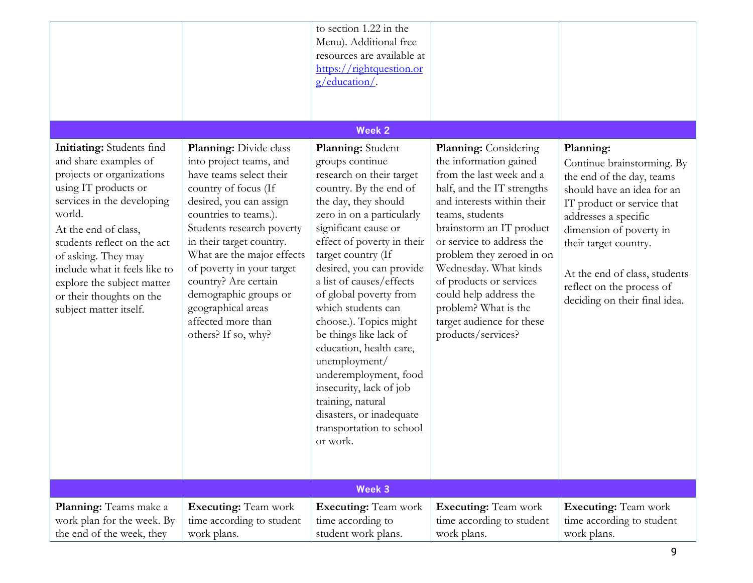|                                                                                                                                                                                                                                                                                                                                                    |                                                                                                                                                                                                                                                                                                                                                                                                  | to section 1.22 in the<br>Menu). Additional free<br>resources are available at<br>https://rightquestion.or<br>g/education/.                                                                                                                                                                                                                                                                                                                                                                                                                                                      |                                                                                                                                                                                                                                                                                                                                                                                                                  |                                                                                                                                                                                                                                                                                                             |
|----------------------------------------------------------------------------------------------------------------------------------------------------------------------------------------------------------------------------------------------------------------------------------------------------------------------------------------------------|--------------------------------------------------------------------------------------------------------------------------------------------------------------------------------------------------------------------------------------------------------------------------------------------------------------------------------------------------------------------------------------------------|----------------------------------------------------------------------------------------------------------------------------------------------------------------------------------------------------------------------------------------------------------------------------------------------------------------------------------------------------------------------------------------------------------------------------------------------------------------------------------------------------------------------------------------------------------------------------------|------------------------------------------------------------------------------------------------------------------------------------------------------------------------------------------------------------------------------------------------------------------------------------------------------------------------------------------------------------------------------------------------------------------|-------------------------------------------------------------------------------------------------------------------------------------------------------------------------------------------------------------------------------------------------------------------------------------------------------------|
|                                                                                                                                                                                                                                                                                                                                                    |                                                                                                                                                                                                                                                                                                                                                                                                  |                                                                                                                                                                                                                                                                                                                                                                                                                                                                                                                                                                                  |                                                                                                                                                                                                                                                                                                                                                                                                                  |                                                                                                                                                                                                                                                                                                             |
|                                                                                                                                                                                                                                                                                                                                                    |                                                                                                                                                                                                                                                                                                                                                                                                  | <b>Week 2</b>                                                                                                                                                                                                                                                                                                                                                                                                                                                                                                                                                                    |                                                                                                                                                                                                                                                                                                                                                                                                                  |                                                                                                                                                                                                                                                                                                             |
| Initiating: Students find<br>and share examples of<br>projects or organizations<br>using IT products or<br>services in the developing<br>world.<br>At the end of class,<br>students reflect on the act<br>of asking. They may<br>include what it feels like to<br>explore the subject matter<br>or their thoughts on the<br>subject matter itself. | Planning: Divide class<br>into project teams, and<br>have teams select their<br>country of focus (If<br>desired, you can assign<br>countries to teams.).<br>Students research poverty<br>in their target country.<br>What are the major effects<br>of poverty in your target<br>country? Are certain<br>demographic groups or<br>geographical areas<br>affected more than<br>others? If so, why? | Planning: Student<br>groups continue<br>research on their target<br>country. By the end of<br>the day, they should<br>zero in on a particularly<br>significant cause or<br>effect of poverty in their<br>target country (If<br>desired, you can provide<br>a list of causes/effects<br>of global poverty from<br>which students can<br>choose.). Topics might<br>be things like lack of<br>education, health care,<br>unemployment/<br>underemployment, food<br>insecurity, lack of job<br>training, natural<br>disasters, or inadequate<br>transportation to school<br>or work. | <b>Planning:</b> Considering<br>the information gained<br>from the last week and a<br>half, and the IT strengths<br>and interests within their<br>teams, students<br>brainstorm an IT product<br>or service to address the<br>problem they zeroed in on<br>Wednesday. What kinds<br>of products or services<br>could help address the<br>problem? What is the<br>target audience for these<br>products/services? | Planning:<br>Continue brainstorming. By<br>the end of the day, teams<br>should have an idea for an<br>IT product or service that<br>addresses a specific<br>dimension of poverty in<br>their target country.<br>At the end of class, students<br>reflect on the process of<br>deciding on their final idea. |
|                                                                                                                                                                                                                                                                                                                                                    |                                                                                                                                                                                                                                                                                                                                                                                                  | Week 3                                                                                                                                                                                                                                                                                                                                                                                                                                                                                                                                                                           |                                                                                                                                                                                                                                                                                                                                                                                                                  |                                                                                                                                                                                                                                                                                                             |
| Planning: Teams make a<br>work plan for the week. By<br>the end of the week, they                                                                                                                                                                                                                                                                  | <b>Executing:</b> Team work<br>time according to student<br>work plans.                                                                                                                                                                                                                                                                                                                          | <b>Executing: Team work</b><br>time according to<br>student work plans.                                                                                                                                                                                                                                                                                                                                                                                                                                                                                                          | <b>Executing:</b> Team work<br>time according to student<br>work plans.                                                                                                                                                                                                                                                                                                                                          | <b>Executing:</b> Team work<br>time according to student<br>work plans.                                                                                                                                                                                                                                     |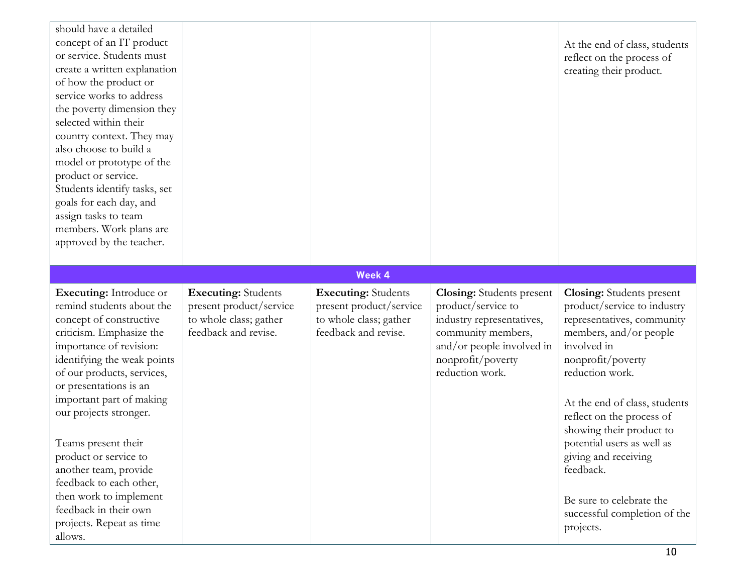| should have a detailed<br>concept of an IT product<br>or service. Students must<br>create a written explanation<br>of how the product or<br>service works to address<br>the poverty dimension they<br>selected within their<br>country context. They may<br>also choose to build a<br>model or prototype of the<br>product or service.<br>Students identify tasks, set<br>goals for each day, and<br>assign tasks to team<br>members. Work plans are<br>approved by the teacher.         |                                                                                                         |                                                                                                         |                                                                                                                                                                                | At the end of class, students<br>reflect on the process of<br>creating their product.                                                                                                                                                                                                                                                                                                                                |
|------------------------------------------------------------------------------------------------------------------------------------------------------------------------------------------------------------------------------------------------------------------------------------------------------------------------------------------------------------------------------------------------------------------------------------------------------------------------------------------|---------------------------------------------------------------------------------------------------------|---------------------------------------------------------------------------------------------------------|--------------------------------------------------------------------------------------------------------------------------------------------------------------------------------|----------------------------------------------------------------------------------------------------------------------------------------------------------------------------------------------------------------------------------------------------------------------------------------------------------------------------------------------------------------------------------------------------------------------|
|                                                                                                                                                                                                                                                                                                                                                                                                                                                                                          |                                                                                                         | <b>Week 4</b>                                                                                           |                                                                                                                                                                                |                                                                                                                                                                                                                                                                                                                                                                                                                      |
| <b>Executing:</b> Introduce or<br>remind students about the<br>concept of constructive<br>criticism. Emphasize the<br>importance of revision:<br>identifying the weak points<br>of our products, services,<br>or presentations is an<br>important part of making<br>our projects stronger.<br>Teams present their<br>product or service to<br>another team, provide<br>feedback to each other,<br>then work to implement<br>feedback in their own<br>projects. Repeat as time<br>allows. | <b>Executing:</b> Students<br>present product/service<br>to whole class; gather<br>feedback and revise. | <b>Executing: Students</b><br>present product/service<br>to whole class; gather<br>feedback and revise. | <b>Closing:</b> Students present<br>product/service to<br>industry representatives,<br>community members,<br>and/or people involved in<br>nonprofit/poverty<br>reduction work. | <b>Closing:</b> Students present<br>product/service to industry<br>representatives, community<br>members, and/or people<br>involved in<br>nonprofit/poverty<br>reduction work.<br>At the end of class, students<br>reflect on the process of<br>showing their product to<br>potential users as well as<br>giving and receiving<br>feedback.<br>Be sure to celebrate the<br>successful completion of the<br>projects. |